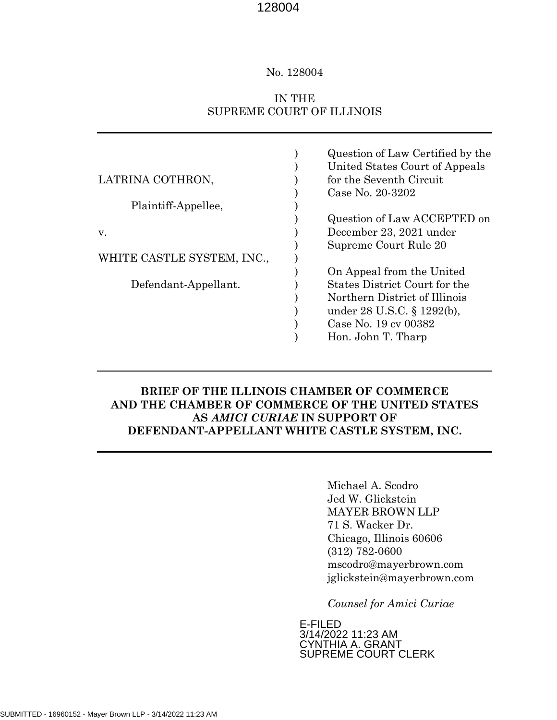### No. 128004

# IN THE SUPREME COURT OF ILLINOIS

|                            | Question of Law Certified by the<br>United States Court of Appeals |
|----------------------------|--------------------------------------------------------------------|
| LATRINA COTHRON,           | for the Seventh Circuit                                            |
|                            | Case No. 20-3202                                                   |
| Plaintiff-Appellee,        |                                                                    |
|                            | Question of Law ACCEPTED on                                        |
| V.                         | December 23, 2021 under                                            |
|                            | Supreme Court Rule 20                                              |
| WHITE CASTLE SYSTEM, INC., |                                                                    |
|                            | On Appeal from the United                                          |
| Defendant-Appellant.       | States District Court for the                                      |
|                            | Northern District of Illinois                                      |
|                            | under 28 U.S.C. § 1292(b),                                         |
|                            | Case No. 19 cv 00382                                               |
|                            | Hon. John T. Tharp                                                 |

# **BRIEF OF THE ILLINOIS CHAMBER OF COMMERCE AND THE CHAMBER OF COMMERCE OF THE UNITED STATES AS** *AMICI CURIAE* **IN SUPPORT OF DEFENDANT-APPELLANT WHITE CASTLE SYSTEM, INC.**

Michael A. Scodro Jed W. Glickstein MAYER BROWN LLP 71 S. Wacker Dr. Chicago, Illinois 60606 (312) 782-0600 mscodro@mayerbrown.com jglickstein@mayerbrown.com

*Counsel for Amici Curiae* 

E-FILED 3/14/2022 11:23 AM CYNTHIA A. GRANT SUPREME COURT CLERK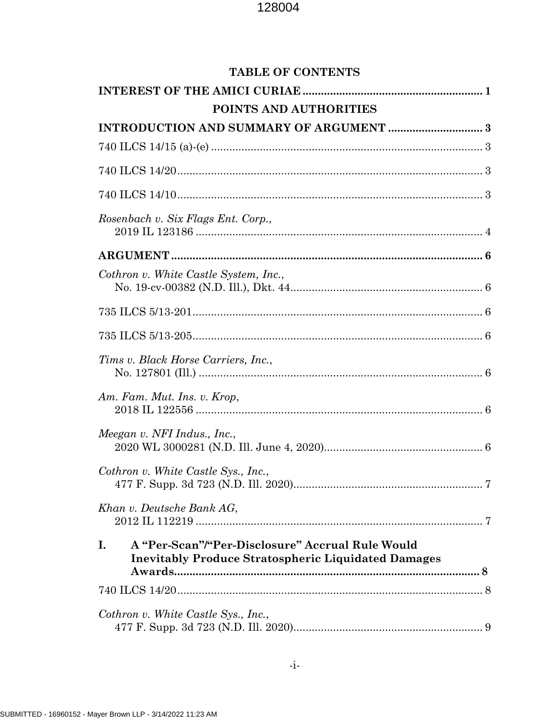| <b>TABLE OF CONTENTS</b>                                                                                             |
|----------------------------------------------------------------------------------------------------------------------|
|                                                                                                                      |
| POINTS AND AUTHORITIES                                                                                               |
|                                                                                                                      |
|                                                                                                                      |
|                                                                                                                      |
|                                                                                                                      |
| Rosenbach v. Six Flags Ent. Corp.,                                                                                   |
|                                                                                                                      |
| Cothron v. White Castle System, Inc.,                                                                                |
|                                                                                                                      |
|                                                                                                                      |
| Tims v. Black Horse Carriers, Inc.,                                                                                  |
| Am. Fam. Mut. Ins. v. Krop,                                                                                          |
| Meegan v. NFI Indus., Inc.,                                                                                          |
| Cothron v. White Castle Sys., Inc.,                                                                                  |
| Khan v. Deutsche Bank AG,                                                                                            |
| I.<br>A "Per-Scan"/"Per-Disclosure" Accrual Rule Would<br><b>Inevitably Produce Stratospheric Liquidated Damages</b> |
|                                                                                                                      |
| Cothron v. White Castle Sys., Inc.,                                                                                  |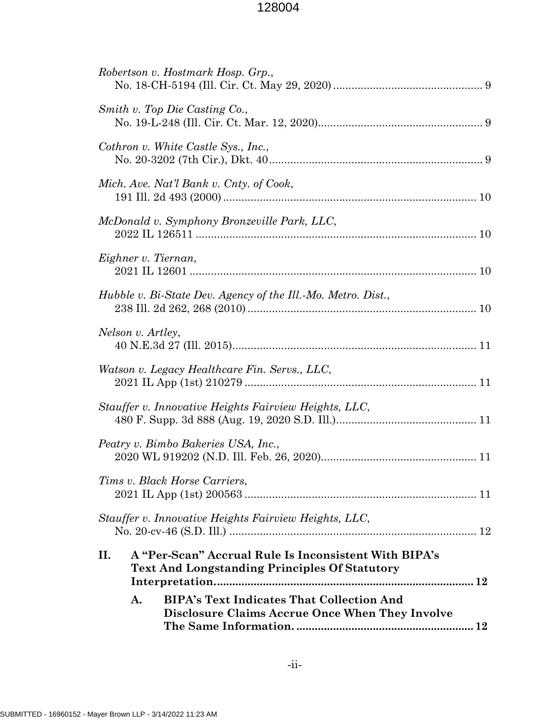| <b>BIPA's Text Indicates That Collection And</b><br>A.<br><b>Disclosure Claims Accrue Once When They Involve</b>     |  |
|----------------------------------------------------------------------------------------------------------------------|--|
| II.<br>A "Per-Scan" Accrual Rule Is Inconsistent With BIPA's<br><b>Text And Longstanding Principles Of Statutory</b> |  |
| Stauffer v. Innovative Heights Fairview Heights, LLC,                                                                |  |
| Tims v. Black Horse Carriers,                                                                                        |  |
| Peatry v. Bimbo Bakeries USA, Inc.,                                                                                  |  |
| Stauffer v. Innovative Heights Fairview Heights, LLC,                                                                |  |
| Watson v. Legacy Healthcare Fin. Servs., LLC,                                                                        |  |
| Nelson v. Artley,                                                                                                    |  |
| Hubble v. Bi-State Dev. Agency of the Ill.-Mo. Metro. Dist.,                                                         |  |
| Eighner v. Tiernan,                                                                                                  |  |
| McDonald v. Symphony Bronzeville Park, LLC,                                                                          |  |
| Mich. Ave. Nat'l Bank v. Cnty. of Cook,                                                                              |  |
| Cothron v. White Castle Sys., Inc.,                                                                                  |  |
| Smith v. Top Die Casting Co.,                                                                                        |  |
| Robertson v. Hostmark Hosp. Grp.,                                                                                    |  |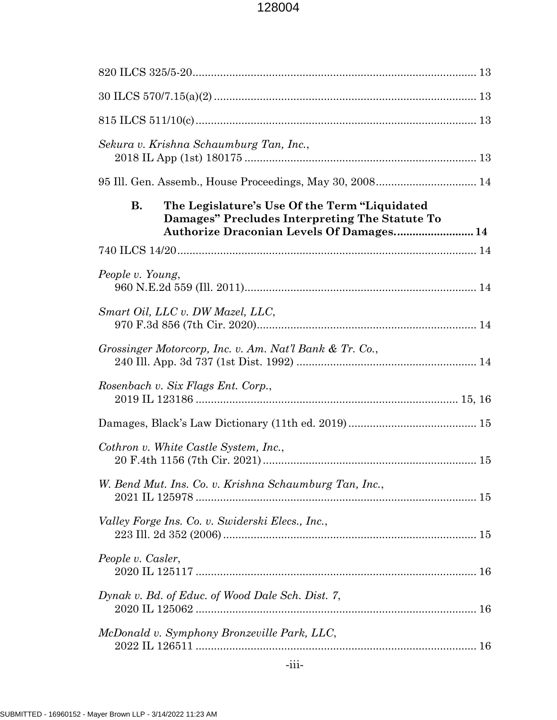| Sekura v. Krishna Schaumburg Tan, Inc.,                                                                      |  |
|--------------------------------------------------------------------------------------------------------------|--|
|                                                                                                              |  |
| The Legislature's Use Of the Term "Liquidated<br><b>B.</b><br>Damages" Precludes Interpreting The Statute To |  |
|                                                                                                              |  |
| People v. Young,                                                                                             |  |
| Smart Oil, LLC v. DW Mazel, LLC,                                                                             |  |
| Grossinger Motorcorp, Inc. v. Am. Nat'l Bank & Tr. Co.,                                                      |  |
| Rosenbach v. Six Flags Ent. Corp.,                                                                           |  |
|                                                                                                              |  |
| Cothron v. White Castle System, Inc.,                                                                        |  |
| W. Bend Mut. Ins. Co. v. Krishna Schaumburg Tan, Inc.,                                                       |  |
| Valley Forge Ins. Co. v. Swiderski Elecs., Inc.,                                                             |  |
| People v. Casler,                                                                                            |  |
| Dynak v. Bd. of Educ. of Wood Dale Sch. Dist. 7,                                                             |  |
| McDonald v. Symphony Bronzeville Park, LLC,                                                                  |  |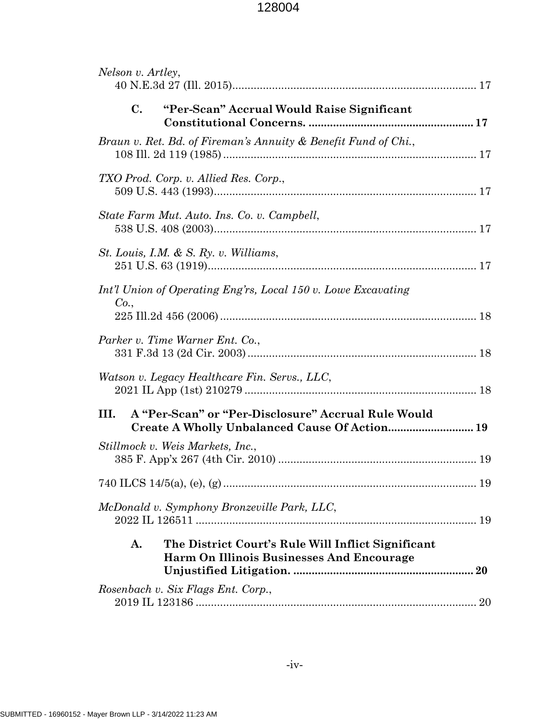| Nelson v. Artley,                                                                                     |
|-------------------------------------------------------------------------------------------------------|
| C.<br>"Per-Scan" Accrual Would Raise Significant                                                      |
| Braun v. Ret. Bd. of Fireman's Annuity & Benefit Fund of Chi.,                                        |
| TXO Prod. Corp. v. Allied Res. Corp.,                                                                 |
| State Farm Mut. Auto. Ins. Co. v. Campbell,                                                           |
| St. Louis, I.M. & S. Ry. v. Williams,                                                                 |
| Int'l Union of Operating Eng'rs, Local 150 v. Lowe Excavating                                         |
| Co.,                                                                                                  |
| Parker v. Time Warner Ent. Co.,                                                                       |
| Watson v. Legacy Healthcare Fin. Servs., LLC,                                                         |
| A "Per-Scan" or "Per-Disclosure" Accrual Rule Would<br>III.                                           |
| Stillmock v. Weis Markets, Inc.,                                                                      |
|                                                                                                       |
| McDonald v. Symphony Bronzeville Park, LLC,                                                           |
| The District Court's Rule Will Inflict Significant<br>A.<br>Harm On Illinois Businesses And Encourage |
| Rosenbach v. Six Flags Ent. Corp.,                                                                    |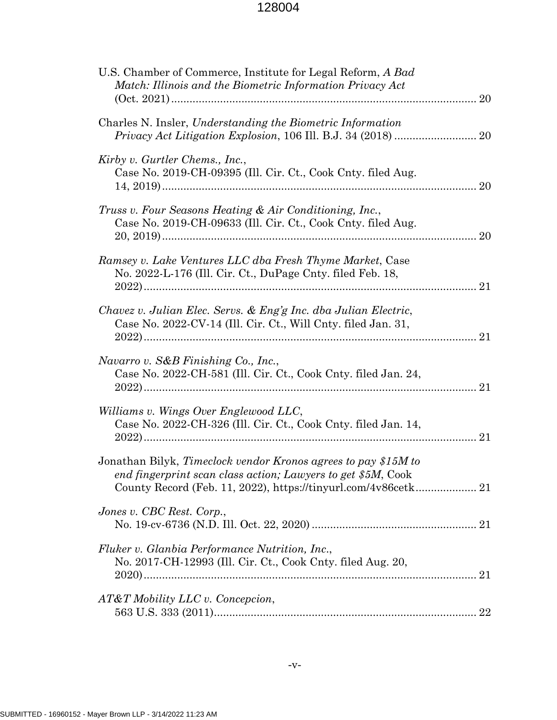| U.S. Chamber of Commerce, Institute for Legal Reform, A Bad<br>Match: Illinois and the Biometric Information Privacy Act<br>20         |
|----------------------------------------------------------------------------------------------------------------------------------------|
| Charles N. Insler, Understanding the Biometric Information<br><i>Privacy Act Litigation Explosion, 106 III. B.J. 34 (2018) </i><br>20  |
| Kirby v. Gurtler Chems., Inc.,<br>Case No. 2019-CH-09395 (Ill. Cir. Ct., Cook Cnty. filed Aug.<br>20                                   |
| Truss v. Four Seasons Heating & Air Conditioning, Inc.,<br>Case No. 2019-CH-09633 (Ill. Cir. Ct., Cook Cnty. filed Aug.<br>20          |
| Ramsey v. Lake Ventures LLC dba Fresh Thyme Market, Case<br>No. 2022-L-176 (Ill. Cir. Ct., DuPage Cnty. filed Feb. 18,                 |
| Chavez v. Julian Elec. Servs. & Eng'g Inc. dba Julian Electric,<br>Case No. 2022-CV-14 (Ill. Cir. Ct., Will Cnty. filed Jan. 31,<br>21 |
| Navarro v. S&B Finishing Co., Inc.,<br>Case No. 2022-CH-581 (Ill. Cir. Ct., Cook Cnty. filed Jan. 24,<br>21                            |
| Williams v. Wings Over Englewood LLC,<br>Case No. 2022-CH-326 (Ill. Cir. Ct., Cook Cnty. filed Jan. 14,<br>21                          |
| Jonathan Bilyk, Timeclock vendor Kronos agrees to pay \$15M to<br>end fingerprint scan class action; Lawyers to get \$5M, Cook         |
| Jones v. CBC Rest. Corp.,                                                                                                              |
| Fluker v. Glanbia Performance Nutrition, Inc.,<br>No. 2017-CH-12993 (Ill. Cir. Ct., Cook Cnty. filed Aug. 20,                          |
| AT&T Mobility LLC v. Concepcion,                                                                                                       |
|                                                                                                                                        |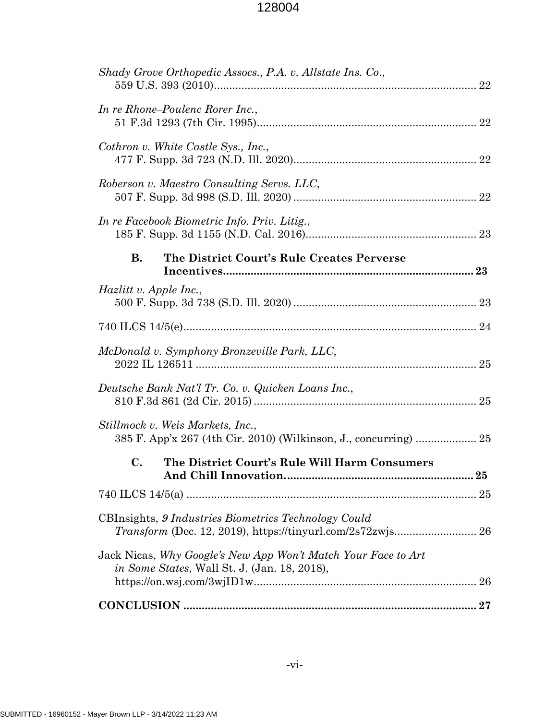| Shady Grove Orthopedic Assocs., P.A. v. Allstate Ins. Co.,                                                           |
|----------------------------------------------------------------------------------------------------------------------|
| In re Rhone–Poulenc Rorer Inc.,                                                                                      |
| Cothron v. White Castle Sys., Inc.,                                                                                  |
| Roberson v. Maestro Consulting Servs. LLC,                                                                           |
| In re Facebook Biometric Info. Priv. Litig.,                                                                         |
| <b>B.</b><br>The District Court's Rule Creates Perverse                                                              |
| <i>Hazlitt v. Apple Inc.,</i>                                                                                        |
|                                                                                                                      |
| McDonald v. Symphony Bronzeville Park, LLC,                                                                          |
| Deutsche Bank Nat'l Tr. Co. v. Quicken Loans Inc.,                                                                   |
| Stillmock v. Weis Markets, Inc.,<br>385 F. App'x 267 (4th Cir. 2010) (Wilkinson, J., concurring)  25                 |
| C.<br>The District Court's Rule Will Harm Consumers<br>${\bf .25}$                                                   |
|                                                                                                                      |
| CBInsights, 9 Industries Biometrics Technology Could                                                                 |
| Jack Nicas, Why Google's New App Won't Match Your Face to Art<br><i>in Some States, Wall St. J. (Jan. 18, 2018),</i> |
|                                                                                                                      |
|                                                                                                                      |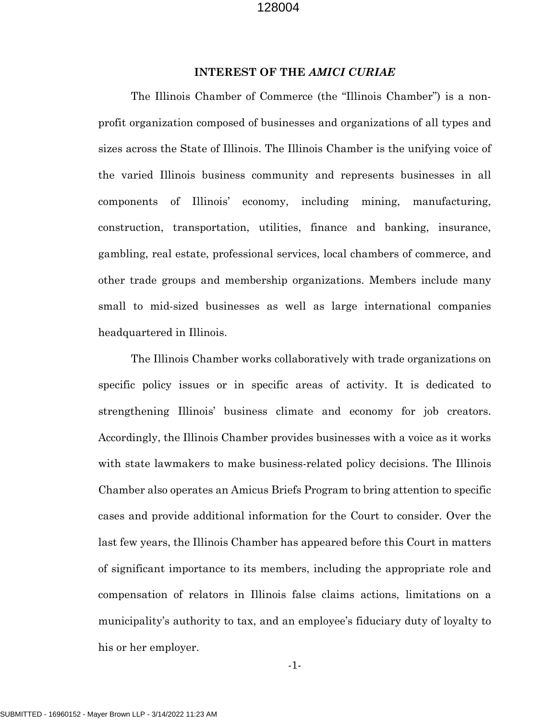#### **INTEREST OF THE** *AMICI CURIAE*

<span id="page-7-0"></span>The Illinois Chamber of Commerce (the "Illinois Chamber") is a nonprofit organization composed of businesses and organizations of all types and sizes across the State of Illinois. The Illinois Chamber is the unifying voice of the varied Illinois business community and represents businesses in all components of Illinois' economy, including mining, manufacturing, construction, transportation, utilities, finance and banking, insurance, gambling, real estate, professional services, local chambers of commerce, and other trade groups and membership organizations. Members include many small to mid-sized businesses as well as large international companies headquartered in Illinois.

The Illinois Chamber works collaboratively with trade organizations on specific policy issues or in specific areas of activity. It is dedicated to strengthening Illinois' business climate and economy for job creators. Accordingly, the Illinois Chamber provides businesses with a voice as it works with state lawmakers to make business-related policy decisions. The Illinois Chamber also operates an Amicus Briefs Program to bring attention to specific cases and provide additional information for the Court to consider. Over the last few years, the Illinois Chamber has appeared before this Court in matters of significant importance to its members, including the appropriate role and compensation of relators in Illinois false claims actions, limitations on a municipality's authority to tax, and an employee's fiduciary duty of loyalty to his or her employer.

-1-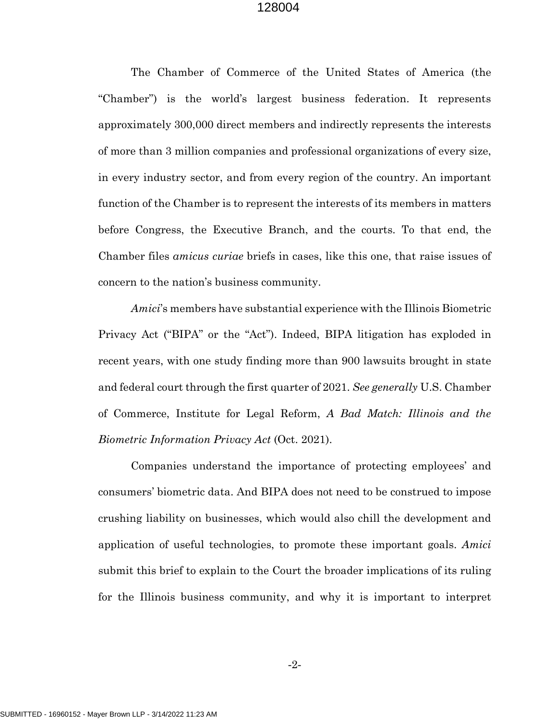The Chamber of Commerce of the United States of America (the "Chamber") is the world's largest business federation. It represents approximately 300,000 direct members and indirectly represents the interests of more than 3 million companies and professional organizations of every size, in every industry sector, and from every region of the country. An important function of the Chamber is to represent the interests of its members in matters before Congress, the Executive Branch, and the courts. To that end, the Chamber files *amicus curiae* briefs in cases, like this one, that raise issues of concern to the nation's business community.

*Amici*'s members have substantial experience with the Illinois Biometric Privacy Act ("BIPA" or the "Act"). Indeed, BIPA litigation has exploded in recent years, with one study finding more than 900 lawsuits brought in state and federal court through the first quarter of 2021. *See generally* U.S. Chamber of Commerce, Institute for Legal Reform, *A Bad Match: Illinois and the Biometric Information Privacy Act* (Oct. 2021).

Companies understand the importance of protecting employees' and consumers' biometric data. And BIPA does not need to be construed to impose crushing liability on businesses, which would also chill the development and application of useful technologies, to promote these important goals. *Amici* submit this brief to explain to the Court the broader implications of its ruling for the Illinois business community, and why it is important to interpret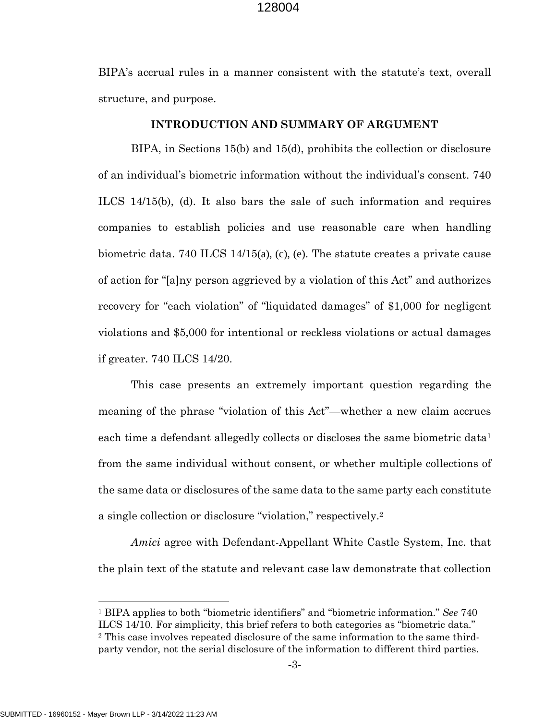BIPA's accrual rules in a manner consistent with the statute's text, overall structure, and purpose.

#### <span id="page-9-1"></span>**INTRODUCTION AND SUMMARY OF ARGUMENT**

<span id="page-9-0"></span>BIPA, in Sections 15(b) and 15(d), prohibits the collection or disclosure of an individual's biometric information without the individual's consent. 740 ILCS 14/15(b), (d). It also bars the sale of such information and requires companies to establish policies and use reasonable care when handling biometric data. 740 ILCS 14/15(a), (c), (e). The statute creates a private cause of action for "[a]ny person aggrieved by a violation of this Act" and authorizes recovery for "each violation" of "liquidated damages" of \$1,000 for negligent violations and \$5,000 for intentional or reckless violations or actual damages if greater. 740 ILCS 14/20.

<span id="page-9-2"></span>This case presents an extremely important question regarding the meaning of the phrase "violation of this Act"—whether a new claim accrues each time a defendant allegedly collects or discloses the same biometric data<sup>[1](#page-9-4)</sup> from the same individual without consent, or whether multiple collections of the same data or disclosures of the same data to the same party each constitute a single collection or disclosure "violation," respectively.[2](#page-9-5)

*Amici* agree with Defendant-Appellant White Castle System, Inc. that the plain text of the statute and relevant case law demonstrate that collection

<span id="page-9-5"></span><span id="page-9-4"></span><span id="page-9-3"></span><sup>1</sup> BIPA applies to both "biometric identifiers" and "biometric information." *See* 740 ILCS 14/10. For simplicity, this brief refers to both categories as "biometric data." <sup>2</sup> This case involves repeated disclosure of the same information to the same thirdparty vendor, not the serial disclosure of the information to different third parties.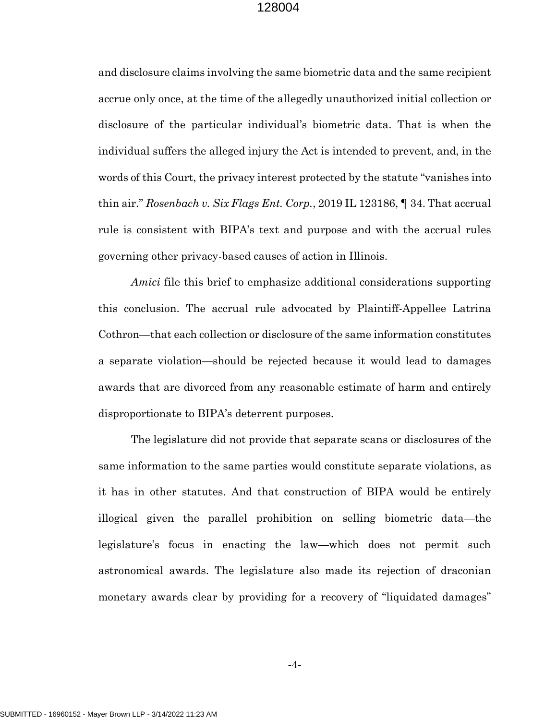and disclosure claims involving the same biometric data and the same recipient accrue only once, at the time of the allegedly unauthorized initial collection or disclosure of the particular individual's biometric data. That is when the individual suffers the alleged injury the Act is intended to prevent, and, in the words of this Court, the privacy interest protected by the statute "vanishes into thin air." *Rosenbach v. Six Flags Ent. Corp.*, 2019 IL 123186, ¶ 34. That accrual rule is consistent with BIPA's text and purpose and with the accrual rules governing other privacy-based causes of action in Illinois.

<span id="page-10-0"></span>*Amici* file this brief to emphasize additional considerations supporting this conclusion. The accrual rule advocated by Plaintiff-Appellee Latrina Cothron—that each collection or disclosure of the same information constitutes a separate violation—should be rejected because it would lead to damages awards that are divorced from any reasonable estimate of harm and entirely disproportionate to BIPA's deterrent purposes.

The legislature did not provide that separate scans or disclosures of the same information to the same parties would constitute separate violations, as it has in other statutes. And that construction of BIPA would be entirely illogical given the parallel prohibition on selling biometric data—the legislature's focus in enacting the law—which does not permit such astronomical awards. The legislature also made its rejection of draconian monetary awards clear by providing for a recovery of "liquidated damages"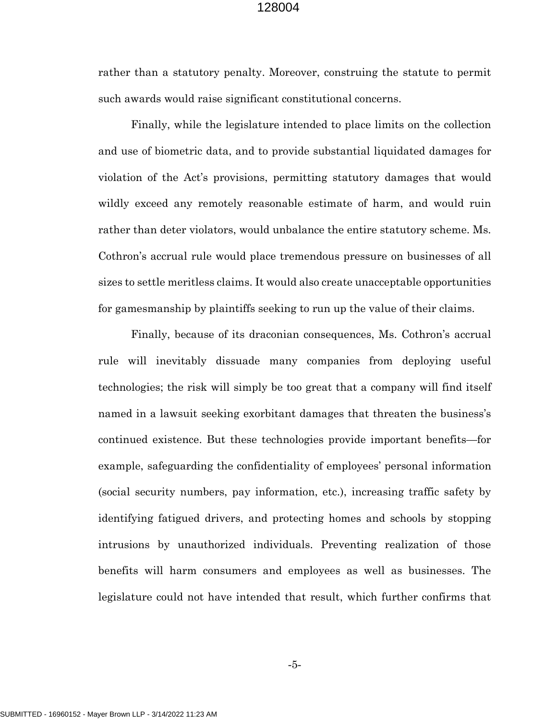rather than a statutory penalty. Moreover, construing the statute to permit such awards would raise significant constitutional concerns.

Finally, while the legislature intended to place limits on the collection and use of biometric data, and to provide substantial liquidated damages for violation of the Act's provisions, permitting statutory damages that would wildly exceed any remotely reasonable estimate of harm, and would ruin rather than deter violators, would unbalance the entire statutory scheme. Ms. Cothron's accrual rule would place tremendous pressure on businesses of all sizes to settle meritless claims. It would also create unacceptable opportunities for gamesmanship by plaintiffs seeking to run up the value of their claims.

Finally, because of its draconian consequences, Ms. Cothron's accrual rule will inevitably dissuade many companies from deploying useful technologies; the risk will simply be too great that a company will find itself named in a lawsuit seeking exorbitant damages that threaten the business's continued existence. But these technologies provide important benefits—for example, safeguarding the confidentiality of employees' personal information (social security numbers, pay information, etc.), increasing traffic safety by identifying fatigued drivers, and protecting homes and schools by stopping intrusions by unauthorized individuals. Preventing realization of those benefits will harm consumers and employees as well as businesses. The legislature could not have intended that result, which further confirms that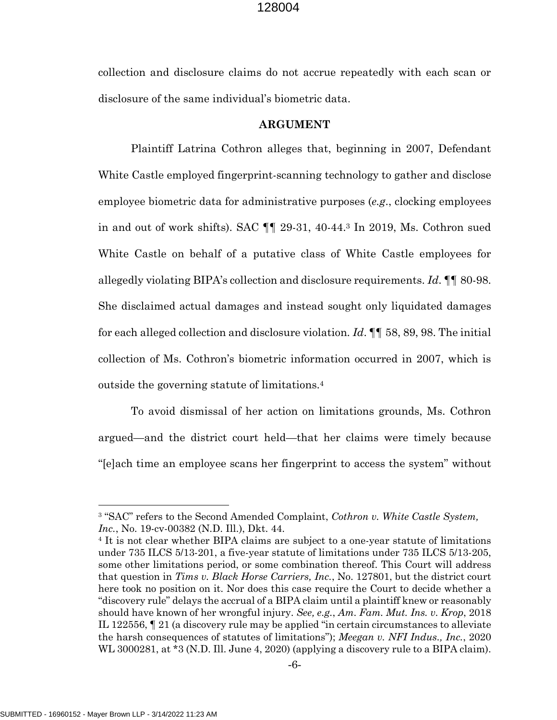collection and disclosure claims do not accrue repeatedly with each scan or disclosure of the same individual's biometric data.

#### **ARGUMENT**

<span id="page-12-0"></span>Plaintiff Latrina Cothron alleges that, beginning in 2007, Defendant White Castle employed fingerprint-scanning technology to gather and disclose employee biometric data for administrative purposes (*e.g*., clocking employees in and out of work shifts). SAC ¶¶ 29-31, 40-44.[3](#page-12-7) In 2019, Ms. Cothron sued White Castle on behalf of a putative class of White Castle employees for allegedly violating BIPA's collection and disclosure requirements. *Id*. ¶¶ 80-98. She disclaimed actual damages and instead sought only liquidated damages for each alleged collection and disclosure violation. *Id*. ¶¶ 58, 89, 98. The initial collection of Ms. Cothron's biometric information occurred in 2007, which is outside the governing statute of limitations.[4](#page-12-8)

To avoid dismissal of her action on limitations grounds, Ms. Cothron argued—and the district court held—that her claims were timely because "[e]ach time an employee scans her fingerprint to access the system" without

<span id="page-12-7"></span><span id="page-12-1"></span><sup>3</sup> "SAC" refers to the Second Amended Complaint, *Cothron v. White Castle System, Inc.*, No. 19-cv-00382 (N.D. Ill.), Dkt. 44.

<span id="page-12-8"></span><span id="page-12-6"></span><span id="page-12-5"></span><span id="page-12-4"></span><span id="page-12-3"></span><span id="page-12-2"></span><sup>&</sup>lt;sup>4</sup> It is not clear whether BIPA claims are subject to a one-year statute of limitations under 735 ILCS 5/13-201, a five-year statute of limitations under 735 ILCS 5/13-205, some other limitations period, or some combination thereof. This Court will address that question in *Tims v. Black Horse Carriers, Inc.*, No. 127801, but the district court here took no position on it. Nor does this case require the Court to decide whether a "discovery rule" delays the accrual of a BIPA claim until a plaintiff knew or reasonably should have known of her wrongful injury. *See, e.g.*, *Am. Fam. Mut. Ins. v. Krop*, 2018 IL 122556, ¶ 21 (a discovery rule may be applied "in certain circumstances to alleviate the harsh consequences of statutes of limitations"); *Meegan v. NFI Indus., Inc.*, 2020 WL 3000281, at \*3 (N.D. Ill. June 4, 2020) (applying a discovery rule to a BIPA claim).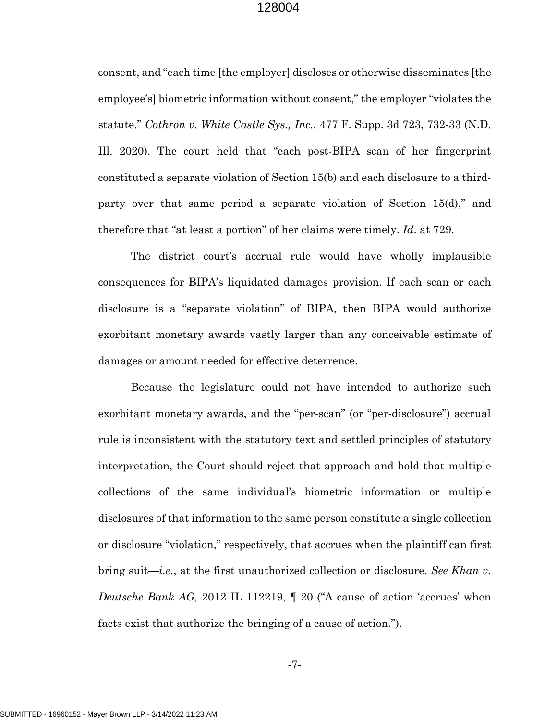<span id="page-13-0"></span>consent, and "each time [the employer] discloses or otherwise disseminates [the employee's] biometric information without consent," the employer "violates the statute." *Cothron v. White Castle Sys., Inc.*, 477 F. Supp. 3d 723, 732-33 (N.D. Ill. 2020). The court held that "each post-BIPA scan of her fingerprint constituted a separate violation of Section 15(b) and each disclosure to a thirdparty over that same period a separate violation of Section 15(d)," and therefore that "at least a portion" of her claims were timely. *Id*. at 729.

The district court's accrual rule would have wholly implausible consequences for BIPA's liquidated damages provision. If each scan or each disclosure is a "separate violation" of BIPA, then BIPA would authorize exorbitant monetary awards vastly larger than any conceivable estimate of damages or amount needed for effective deterrence.

Because the legislature could not have intended to authorize such exorbitant monetary awards, and the "per-scan" (or "per-disclosure") accrual rule is inconsistent with the statutory text and settled principles of statutory interpretation, the Court should reject that approach and hold that multiple collections of the same individual's biometric information or multiple disclosures of that information to the same person constitute a single collection or disclosure "violation," respectively, that accrues when the plaintiff can first bring suit—*i.e.*, at the first unauthorized collection or disclosure. *See Khan v. Deutsche Bank AG,* 2012 IL 112219, ¶ 20 ("A cause of action 'accrues' when facts exist that authorize the bringing of a cause of action.").

<span id="page-13-1"></span>-7-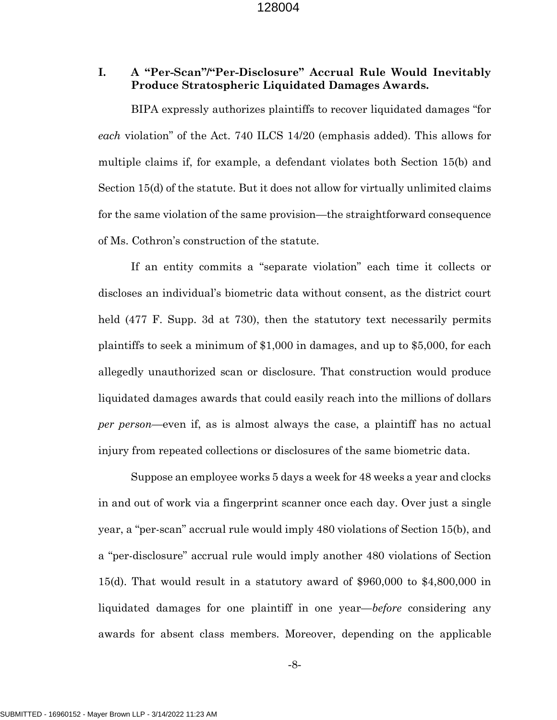## <span id="page-14-0"></span>**I. A "Per-Scan"/"Per-Disclosure" Accrual Rule Would Inevitably Produce Stratospheric Liquidated Damages Awards.**

<span id="page-14-1"></span>BIPA expressly authorizes plaintiffs to recover liquidated damages "for *each* violation" of the Act. 740 ILCS 14/20 (emphasis added). This allows for multiple claims if, for example, a defendant violates both Section 15(b) and Section 15(d) of the statute. But it does not allow for virtually unlimited claims for the same violation of the same provision—the straightforward consequence of Ms. Cothron's construction of the statute.

If an entity commits a "separate violation" each time it collects or discloses an individual's biometric data without consent, as the district court held (477 F. Supp. 3d at 730), then the statutory text necessarily permits plaintiffs to seek a minimum of \$1,000 in damages, and up to \$5,000, for each allegedly unauthorized scan or disclosure. That construction would produce liquidated damages awards that could easily reach into the millions of dollars *per person*—even if, as is almost always the case, a plaintiff has no actual injury from repeated collections or disclosures of the same biometric data.

Suppose an employee works 5 days a week for 48 weeks a year and clocks in and out of work via a fingerprint scanner once each day. Over just a single year, a "per-scan" accrual rule would imply 480 violations of Section 15(b), and a "per-disclosure" accrual rule would imply another 480 violations of Section 15(d). That would result in a statutory award of \$960,000 to \$4,800,000 in liquidated damages for one plaintiff in one year—*before* considering any awards for absent class members. Moreover, depending on the applicable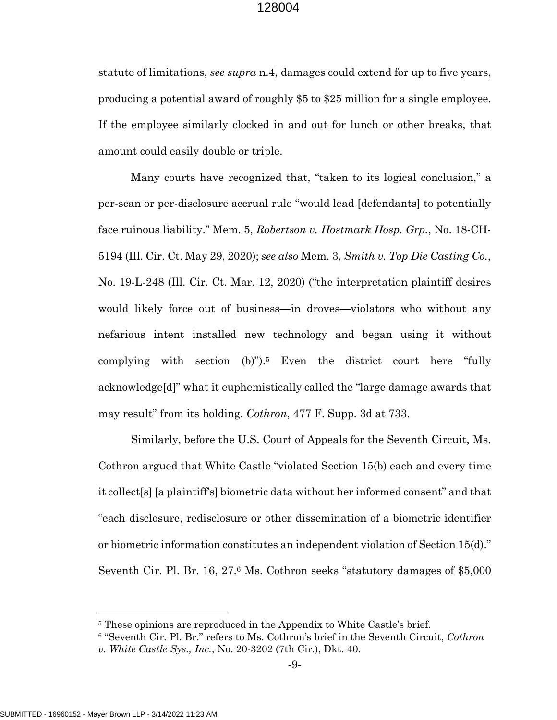statute of limitations, *see supra* n.4, damages could extend for up to five years, producing a potential award of roughly \$5 to \$25 million for a single employee. If the employee similarly clocked in and out for lunch or other breaks, that amount could easily double or triple.

<span id="page-15-2"></span><span id="page-15-1"></span>Many courts have recognized that, "taken to its logical conclusion," a per-scan or per-disclosure accrual rule "would lead [defendants] to potentially face ruinous liability." Mem. 5, *Robertson v. Hostmark Hosp. Grp.*, No. 18-CH-5194 (Ill. Cir. Ct. May 29, 2020); *see also* Mem. 3, *Smith v. Top Die Casting Co.*, No. 19-L-248 (Ill. Cir. Ct. Mar. 12, 2020) ("the interpretation plaintiff desires would likely force out of business—in droves—violators who without any nefarious intent installed new technology and began using it without complying with section  $(b)$ ").<sup>[5](#page-15-4)</sup> Even the district court here "fully acknowledge[d]" what it euphemistically called the "large damage awards that may result" from its holding. *Cothron*, 477 F. Supp. 3d at 733.

<span id="page-15-0"></span>Similarly, before the U.S. Court of Appeals for the Seventh Circuit, Ms. Cothron argued that White Castle "violated Section 15(b) each and every time it collect[s] [a plaintiff's] biometric data without her informed consent" and that "each disclosure, redisclosure or other dissemination of a biometric identifier or biometric information constitutes an independent violation of Section 15(d)." Seventh Cir. Pl. Br. 16, 27.[6](#page-15-5) Ms. Cothron seeks "statutory damages of \$5,000

<span id="page-15-5"></span><span id="page-15-4"></span><span id="page-15-3"></span><sup>&</sup>lt;sup>5</sup> These opinions are reproduced in the Appendix to White Castle's brief.

<sup>6</sup> "Seventh Cir. Pl. Br." refers to Ms. Cothron's brief in the Seventh Circuit, *Cothron v. White Castle Sys., Inc.*, No. 20-3202 (7th Cir.), Dkt. 40.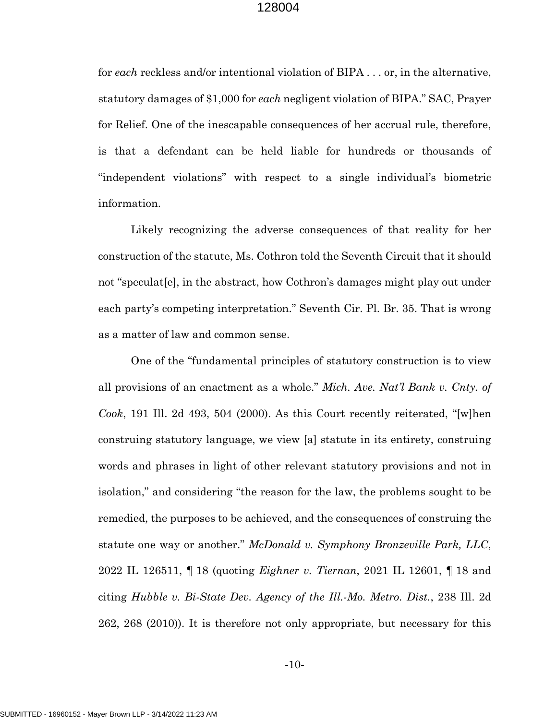for *each* reckless and/or intentional violation of BIPA . . . or, in the alternative, statutory damages of \$1,000 for *each* negligent violation of BIPA." SAC, Prayer for Relief. One of the inescapable consequences of her accrual rule, therefore, is that a defendant can be held liable for hundreds or thousands of "independent violations" with respect to a single individual's biometric information.

Likely recognizing the adverse consequences of that reality for her construction of the statute, Ms. Cothron told the Seventh Circuit that it should not "speculat[e], in the abstract, how Cothron's damages might play out under each party's competing interpretation." Seventh Cir. Pl. Br. 35. That is wrong as a matter of law and common sense.

<span id="page-16-3"></span><span id="page-16-2"></span><span id="page-16-1"></span><span id="page-16-0"></span>One of the "fundamental principles of statutory construction is to view all provisions of an enactment as a whole." *Mich. Ave. Nat'l Bank v. Cnty. of Cook*, 191 Ill. 2d 493, 504 (2000). As this Court recently reiterated, "[w]hen construing statutory language, we view [a] statute in its entirety, construing words and phrases in light of other relevant statutory provisions and not in isolation," and considering "the reason for the law, the problems sought to be remedied, the purposes to be achieved, and the consequences of construing the statute one way or another." *McDonald v. Symphony Bronzeville Park, LLC*, 2022 IL 126511, ¶ 18 (quoting *Eighner v. Tiernan*, 2021 IL 12601, ¶ 18 and citing *Hubble v. Bi-State Dev. Agency of the Ill.-Mo. Metro. Dist.*, 238 Ill. 2d 262, 268 (2010)). It is therefore not only appropriate, but necessary for this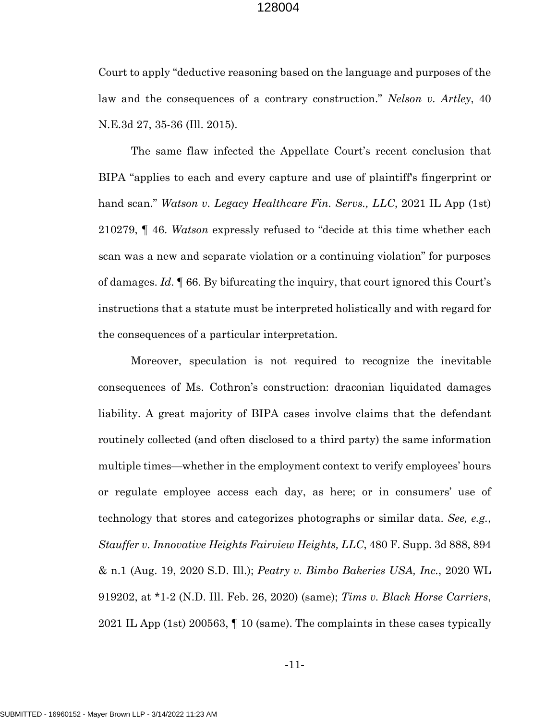<span id="page-17-0"></span>Court to apply "deductive reasoning based on the language and purposes of the law and the consequences of a contrary construction." *Nelson v. Artley*, 40 N.E.3d 27, 35-36 (Ill. 2015).

<span id="page-17-1"></span>The same flaw infected the Appellate Court's recent conclusion that BIPA "applies to each and every capture and use of plaintiff's fingerprint or hand scan." *Watson v. Legacy Healthcare Fin. Servs., LLC*, 2021 IL App (1st) 210279, ¶ 46. *Watson* expressly refused to "decide at this time whether each scan was a new and separate violation or a continuing violation" for purposes of damages. *Id*. ¶ 66. By bifurcating the inquiry, that court ignored this Court's instructions that a statute must be interpreted holistically and with regard for the consequences of a particular interpretation.

<span id="page-17-4"></span><span id="page-17-3"></span><span id="page-17-2"></span>Moreover, speculation is not required to recognize the inevitable consequences of Ms. Cothron's construction: draconian liquidated damages liability. A great majority of BIPA cases involve claims that the defendant routinely collected (and often disclosed to a third party) the same information multiple times—whether in the employment context to verify employees' hours or regulate employee access each day, as here; or in consumers' use of technology that stores and categorizes photographs or similar data. *See, e.g.*, *Stauffer v. Innovative Heights Fairview Heights, LLC*, 480 F. Supp. 3d 888, 894 & n.1 (Aug. 19, 2020 S.D. Ill.); *Peatry v. Bimbo Bakeries USA, Inc.*, 2020 WL 919202, at \*1-2 (N.D. Ill. Feb. 26, 2020) (same); *Tims v. Black Horse Carriers*, 2021 IL App (1st) 200563, ¶ 10 (same). The complaints in these cases typically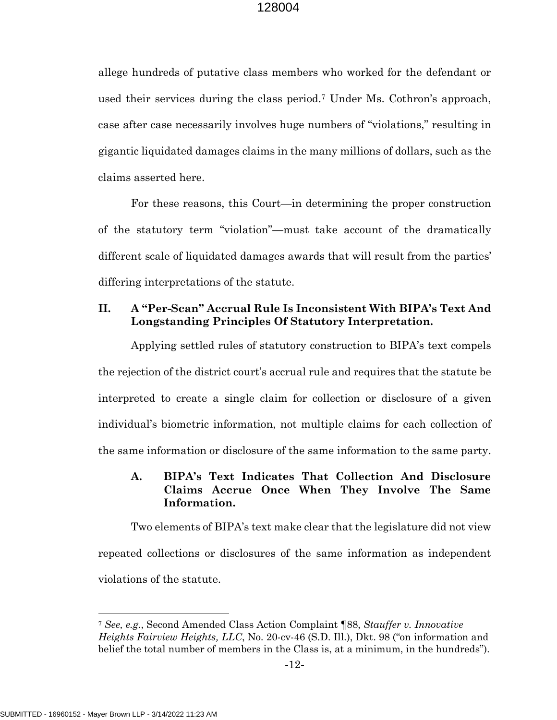allege hundreds of putative class members who worked for the defendant or used their services during the class period.[7](#page-18-3) Under Ms. Cothron's approach, case after case necessarily involves huge numbers of "violations," resulting in gigantic liquidated damages claims in the many millions of dollars, such as the claims asserted here.

For these reasons, this Court—in determining the proper construction of the statutory term "violation"—must take account of the dramatically different scale of liquidated damages awards that will result from the parties' differing interpretations of the statute.

# <span id="page-18-0"></span>**II. A "Per-Scan" Accrual Rule Is Inconsistent With BIPA's Text And Longstanding Principles Of Statutory Interpretation.**

Applying settled rules of statutory construction to BIPA's text compels the rejection of the district court's accrual rule and requires that the statute be interpreted to create a single claim for collection or disclosure of a given individual's biometric information, not multiple claims for each collection of the same information or disclosure of the same information to the same party.

# <span id="page-18-1"></span>**A. BIPA's Text Indicates That Collection And Disclosure Claims Accrue Once When They Involve The Same Information.**

Two elements of BIPA's text make clear that the legislature did not view repeated collections or disclosures of the same information as independent violations of the statute.

<span id="page-18-3"></span><span id="page-18-2"></span><sup>7</sup> *See, e.g.*, Second Amended Class Action Complaint ¶88, *Stauffer v. Innovative Heights Fairview Heights, LLC*, No. 20-cv-46 (S.D. Ill.), Dkt. 98 ("on information and belief the total number of members in the Class is, at a minimum, in the hundreds").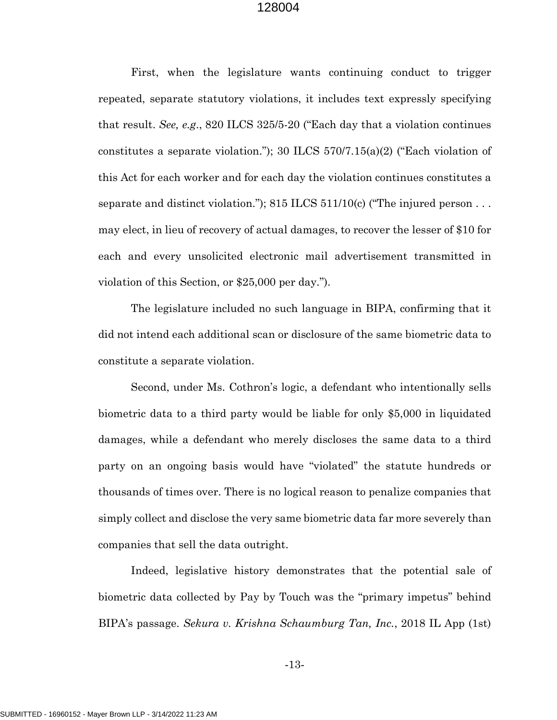<span id="page-19-2"></span><span id="page-19-1"></span><span id="page-19-0"></span>First, when the legislature wants continuing conduct to trigger repeated, separate statutory violations, it includes text expressly specifying that result. *See, e.g*., 820 ILCS 325/5-20 ("Each day that a violation continues constitutes a separate violation."); 30 ILCS  $570/7.15(a)(2)$  ("Each violation of this Act for each worker and for each day the violation continues constitutes a separate and distinct violation."); 815 ILCS 511/10(c) ("The injured person... may elect, in lieu of recovery of actual damages, to recover the lesser of \$10 for each and every unsolicited electronic mail advertisement transmitted in violation of this Section, or \$25,000 per day.").

The legislature included no such language in BIPA, confirming that it did not intend each additional scan or disclosure of the same biometric data to constitute a separate violation.

Second, under Ms. Cothron's logic, a defendant who intentionally sells biometric data to a third party would be liable for only \$5,000 in liquidated damages, while a defendant who merely discloses the same data to a third party on an ongoing basis would have "violated" the statute hundreds or thousands of times over. There is no logical reason to penalize companies that simply collect and disclose the very same biometric data far more severely than companies that sell the data outright.

<span id="page-19-3"></span>Indeed, legislative history demonstrates that the potential sale of biometric data collected by Pay by Touch was the "primary impetus" behind BIPA's passage. *Sekura v. Krishna Schaumburg Tan, Inc.*, 2018 IL App (1st)

-13-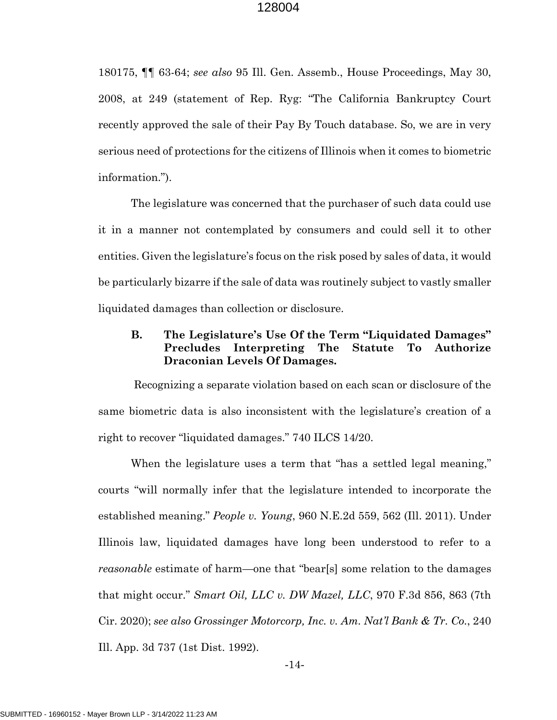<span id="page-20-1"></span>180175, ¶¶ 63-64; *see also* 95 Ill. Gen. Assemb., House Proceedings, May 30, 2008, at 249 (statement of Rep. Ryg: "The California Bankruptcy Court recently approved the sale of their Pay By Touch database. So, we are in very serious need of protections for the citizens of Illinois when it comes to biometric information.").

The legislature was concerned that the purchaser of such data could use it in a manner not contemplated by consumers and could sell it to other entities. Given the legislature's focus on the risk posed by sales of data, it would be particularly bizarre if the sale of data was routinely subject to vastly smaller liquidated damages than collection or disclosure.

# <span id="page-20-2"></span><span id="page-20-0"></span>**B. The Legislature's Use Of the Term "Liquidated Damages" Precludes Interpreting The Statute To Authorize Draconian Levels Of Damages.**

 Recognizing a separate violation based on each scan or disclosure of the same biometric data is also inconsistent with the legislature's creation of a right to recover "liquidated damages." 740 ILCS 14/20.

<span id="page-20-3"></span>When the legislature uses a term that "has a settled legal meaning," courts "will normally infer that the legislature intended to incorporate the established meaning." *People v. Young*, 960 N.E.2d 559, 562 (Ill. 2011). Under Illinois law, liquidated damages have long been understood to refer to a *reasonable* estimate of harm—one that "bear[s] some relation to the damages that might occur." *Smart Oil, LLC v. DW Mazel, LLC*, 970 F.3d 856, 863 (7th Cir. 2020); *see also Grossinger Motorcorp, Inc. v. Am. Nat'l Bank & Tr. Co.*, 240 Ill. App. 3d 737 (1st Dist. 1992).

<span id="page-20-5"></span><span id="page-20-4"></span>-14-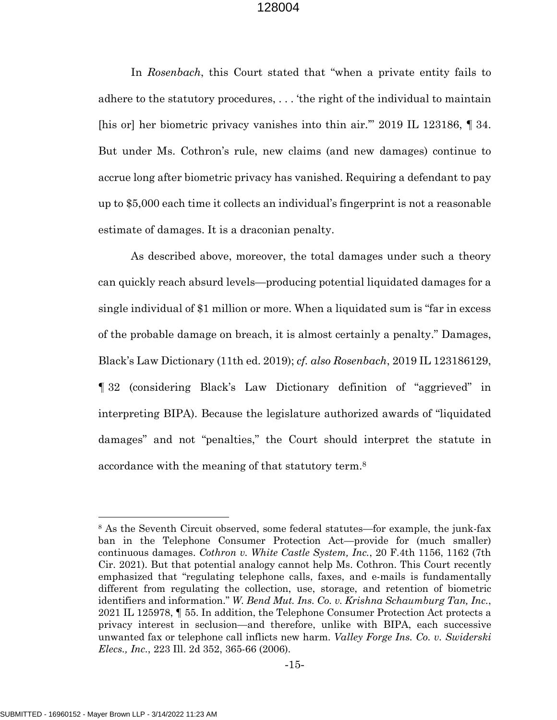<span id="page-21-0"></span>In *Rosenbach*, this Court stated that "when a private entity fails to adhere to the statutory procedures, . . . 'the right of the individual to maintain [his or] her biometric privacy vanishes into thin air.'" 2019 IL 123186, ¶ 34. But under Ms. Cothron's rule, new claims (and new damages) continue to accrue long after biometric privacy has vanished. Requiring a defendant to pay up to \$5,000 each time it collects an individual's fingerprint is not a reasonable estimate of damages. It is a draconian penalty.

<span id="page-21-1"></span>As described above, moreover, the total damages under such a theory can quickly reach absurd levels—producing potential liquidated damages for a single individual of \$1 million or more. When a liquidated sum is "far in excess of the probable damage on breach, it is almost certainly a penalty." Damages, Black's Law Dictionary (11th ed. 2019); *cf. also Rosenbach*, 2019 IL 123186129, ¶ 32 (considering Black's Law Dictionary definition of "aggrieved" in interpreting BIPA). Because the legislature authorized awards of "liquidated damages" and not "penalties," the Court should interpret the statute in accordance with the meaning of that statutory term.[8](#page-21-5)

<span id="page-21-5"></span><span id="page-21-4"></span><span id="page-21-3"></span><span id="page-21-2"></span><sup>8</sup> As the Seventh Circuit observed, some federal statutes—for example, the junk-fax ban in the Telephone Consumer Protection Act—provide for (much smaller) continuous damages. *Cothron v. White Castle System, Inc.*, 20 F.4th 1156, 1162 (7th Cir. 2021). But that potential analogy cannot help Ms. Cothron. This Court recently emphasized that "regulating telephone calls, faxes, and e-mails is fundamentally different from regulating the collection, use, storage, and retention of biometric identifiers and information." *W. Bend Mut. Ins. Co. v. Krishna Schaumburg Tan, Inc.*, 2021 IL 125978, ¶ 55. In addition, the Telephone Consumer Protection Act protects a privacy interest in seclusion—and therefore, unlike with BIPA, each successive unwanted fax or telephone call inflicts new harm. *Valley Forge Ins. Co. v. Swiderski Elecs., Inc.*, 223 Ill. 2d 352, 365-66 (2006).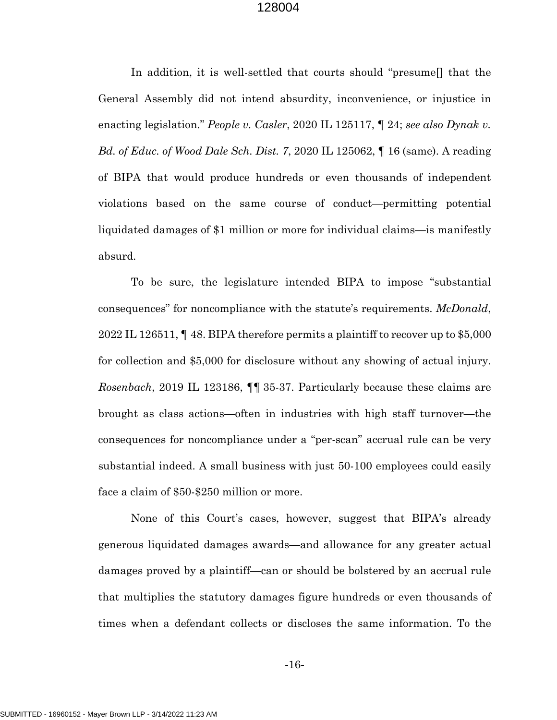<span id="page-22-2"></span><span id="page-22-1"></span>In addition, it is well-settled that courts should "presume[] that the General Assembly did not intend absurdity, inconvenience, or injustice in enacting legislation." *People v. Casler*, 2020 IL 125117, ¶ 24; *see also Dynak v. Bd. of Educ. of Wood Dale Sch. Dist. 7*, 2020 IL 125062, ¶ 16 (same). A reading of BIPA that would produce hundreds or even thousands of independent violations based on the same course of conduct—permitting potential liquidated damages of \$1 million or more for individual claims—is manifestly absurd.

<span id="page-22-3"></span><span id="page-22-0"></span>To be sure, the legislature intended BIPA to impose "substantial consequences" for noncompliance with the statute's requirements. *McDonald*, 2022 IL 126511, ¶ 48. BIPA therefore permits a plaintiff to recover up to \$5,000 for collection and \$5,000 for disclosure without any showing of actual injury. *Rosenbach*, 2019 IL 123186, ¶¶ 35-37. Particularly because these claims are brought as class actions—often in industries with high staff turnover—the consequences for noncompliance under a "per-scan" accrual rule can be very substantial indeed. A small business with just 50-100 employees could easily face a claim of \$50-\$250 million or more.

None of this Court's cases, however, suggest that BIPA's already generous liquidated damages awards—and allowance for any greater actual damages proved by a plaintiff—can or should be bolstered by an accrual rule that multiplies the statutory damages figure hundreds or even thousands of times when a defendant collects or discloses the same information. To the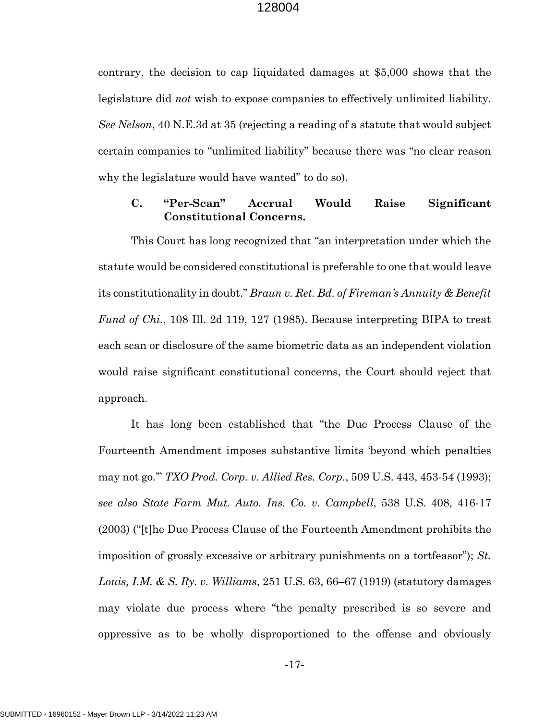<span id="page-23-1"></span>contrary, the decision to cap liquidated damages at \$5,000 shows that the legislature did *not* wish to expose companies to effectively unlimited liability. *See Nelson*, 40 N.E.3d at 35 (rejecting a reading of a statute that would subject certain companies to "unlimited liability" because there was "no clear reason why the legislature would have wanted" to do so).

## <span id="page-23-2"></span><span id="page-23-0"></span>**C. "Per-Scan" Accrual Would Raise Significant Constitutional Concerns.**

This Court has long recognized that "an interpretation under which the statute would be considered constitutional is preferable to one that would leave its constitutionality in doubt." *Braun v. Ret. Bd. of Fireman's Annuity & Benefit Fund of Chi.*, 108 Ill. 2d 119, 127 (1985). Because interpreting BIPA to treat each scan or disclosure of the same biometric data as an independent violation would raise significant constitutional concerns, the Court should reject that approach.

<span id="page-23-5"></span><span id="page-23-4"></span><span id="page-23-3"></span>It has long been established that "the Due Process Clause of the Fourteenth Amendment imposes substantive limits 'beyond which penalties may not go.'" *TXO Prod. Corp. v. Allied Res. Corp*., 509 U.S. 443, 453-54 (1993); *see also State Farm Mut. Auto. Ins. Co. v. Campbell*, 538 U.S. 408, 416-17 (2003) ("[t]he Due Process Clause of the Fourteenth Amendment prohibits the imposition of grossly excessive or arbitrary punishments on a tortfeasor"); *St. Louis, I.M. & S. Ry. v. Williams*, 251 U.S. 63, 66–67 (1919) (statutory damages may violate due process where "the penalty prescribed is so severe and oppressive as to be wholly disproportioned to the offense and obviously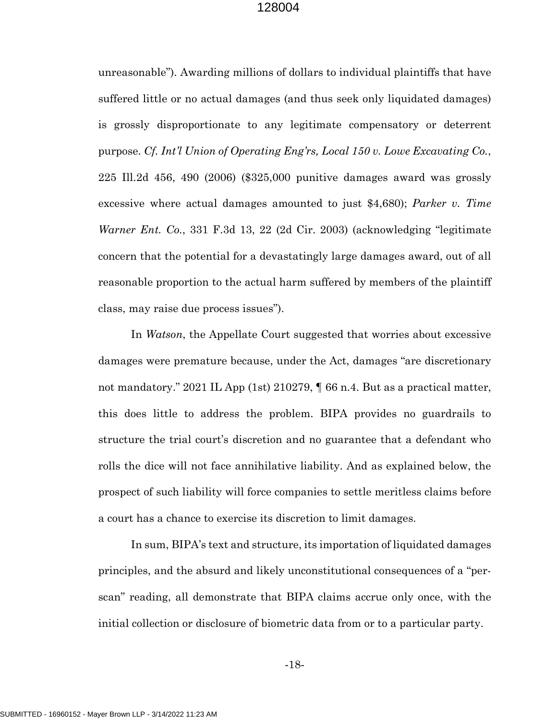<span id="page-24-1"></span><span id="page-24-0"></span>unreasonable"). Awarding millions of dollars to individual plaintiffs that have suffered little or no actual damages (and thus seek only liquidated damages) is grossly disproportionate to any legitimate compensatory or deterrent purpose. *Cf. Int'l Union of Operating Eng'rs, Local 150 v. Lowe Excavating Co.*, 225 Ill.2d 456, 490 (2006) (\$325,000 punitive damages award was grossly excessive where actual damages amounted to just \$4,680); *Parker v. Time Warner Ent. Co.*, 331 F.3d 13, 22 (2d Cir. 2003) (acknowledging "legitimate concern that the potential for a devastatingly large damages award, out of all reasonable proportion to the actual harm suffered by members of the plaintiff class, may raise due process issues").

<span id="page-24-2"></span>In *Watson*, the Appellate Court suggested that worries about excessive damages were premature because, under the Act, damages "are discretionary not mandatory." 2021 IL App (1st) 210279, ¶ 66 n.4. But as a practical matter, this does little to address the problem. BIPA provides no guardrails to structure the trial court's discretion and no guarantee that a defendant who rolls the dice will not face annihilative liability. And as explained below, the prospect of such liability will force companies to settle meritless claims before a court has a chance to exercise its discretion to limit damages.

In sum, BIPA's text and structure, its importation of liquidated damages principles, and the absurd and likely unconstitutional consequences of a "perscan" reading, all demonstrate that BIPA claims accrue only once, with the initial collection or disclosure of biometric data from or to a particular party.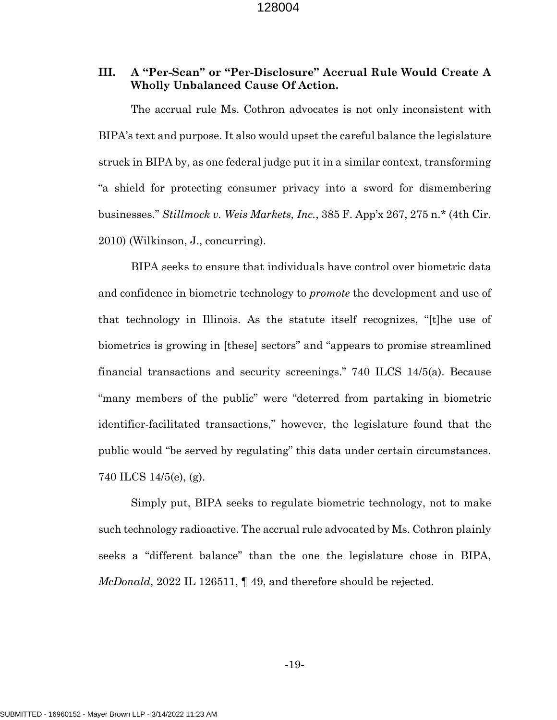# <span id="page-25-0"></span>**III. A "Per-Scan" or "Per-Disclosure" Accrual Rule Would Create A Wholly Unbalanced Cause Of Action.**

The accrual rule Ms. Cothron advocates is not only inconsistent with BIPA's text and purpose. It also would upset the careful balance the legislature struck in BIPA by, as one federal judge put it in a similar context, transforming "a shield for protecting consumer privacy into a sword for dismembering businesses." *Stillmock v. Weis Markets, Inc.*, 385 F. App'x 267, 275 n.\* (4th Cir. 2010) (Wilkinson, J., concurring).

<span id="page-25-2"></span><span id="page-25-1"></span>BIPA seeks to ensure that individuals have control over biometric data and confidence in biometric technology to *promote* the development and use of that technology in Illinois. As the statute itself recognizes, "[t]he use of biometrics is growing in [these] sectors" and "appears to promise streamlined financial transactions and security screenings." 740 ILCS 14/5(a). Because "many members of the public" were "deterred from partaking in biometric identifier-facilitated transactions," however, the legislature found that the public would "be served by regulating" this data under certain circumstances. 740 ILCS 14/5(e), (g).

<span id="page-25-3"></span>Simply put, BIPA seeks to regulate biometric technology, not to make such technology radioactive. The accrual rule advocated by Ms. Cothron plainly seeks a "different balance" than the one the legislature chose in BIPA, *McDonald*, 2022 IL 126511, ¶ 49, and therefore should be rejected.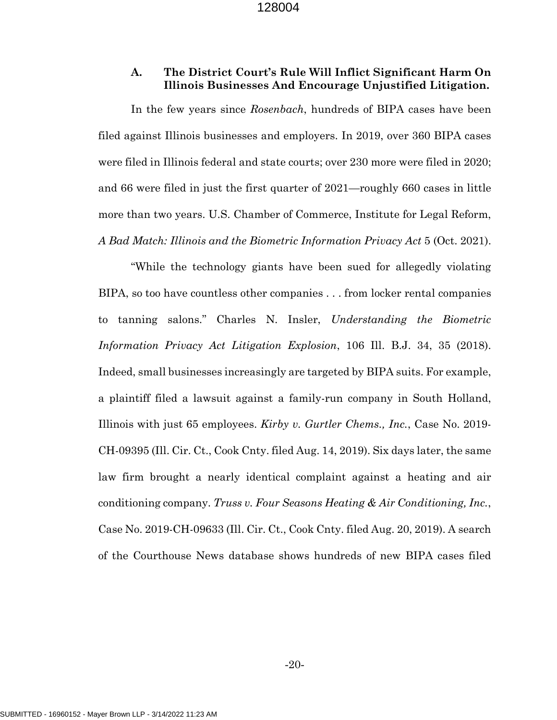## <span id="page-26-1"></span><span id="page-26-0"></span>**A. The District Court's Rule Will Inflict Significant Harm On Illinois Businesses And Encourage Unjustified Litigation.**

In the few years since *Rosenbach*, hundreds of BIPA cases have been filed against Illinois businesses and employers. In 2019, over 360 BIPA cases were filed in Illinois federal and state courts; over 230 more were filed in 2020; and 66 were filed in just the first quarter of 2021—roughly 660 cases in little more than two years. U.S. Chamber of Commerce, Institute for Legal Reform, *A Bad Match: Illinois and the Biometric Information Privacy Act* 5 (Oct. 2021).

<span id="page-26-5"></span><span id="page-26-4"></span><span id="page-26-3"></span><span id="page-26-2"></span>"While the technology giants have been sued for allegedly violating BIPA, so too have countless other companies . . . from locker rental companies to tanning salons." Charles N. Insler, *Understanding the Biometric Information Privacy Act Litigation Explosion*, 106 Ill. B.J. 34, 35 (2018). Indeed, small businesses increasingly are targeted by BIPA suits. For example, a plaintiff filed a lawsuit against a family-run company in South Holland, Illinois with just 65 employees. *Kirby v. Gurtler Chems., Inc.*, Case No. 2019- CH-09395 (Ill. Cir. Ct., Cook Cnty. filed Aug. 14, 2019). Six days later, the same law firm brought a nearly identical complaint against a heating and air conditioning company. *Truss v. Four Seasons Heating & Air Conditioning, Inc.*, Case No. 2019-CH-09633 (Ill. Cir. Ct., Cook Cnty. filed Aug. 20, 2019). A search of the Courthouse News database shows hundreds of new BIPA cases filed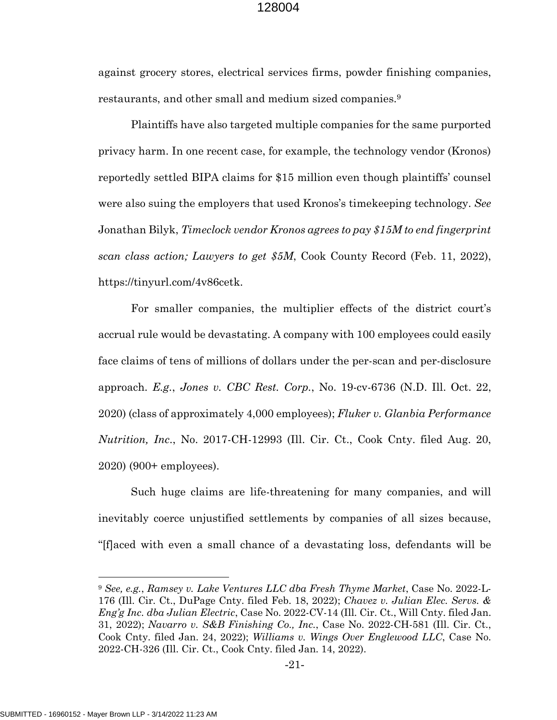against grocery stores, electrical services firms, powder finishing companies, restaurants, and other small and medium sized companies.[9](#page-27-7)

<span id="page-27-4"></span>Plaintiffs have also targeted multiple companies for the same purported privacy harm. In one recent case, for example, the technology vendor (Kronos) reportedly settled BIPA claims for \$15 million even though plaintiffs' counsel were also suing the employers that used Kronos's timekeeping technology. *See*  Jonathan Bilyk, *Timeclock vendor Kronos agrees to pay \$15M to end fingerprint scan class action; Lawyers to get \$5M*, Cook County Record (Feb. 11, 2022), https://tinyurl.com/4v86cetk.

<span id="page-27-6"></span><span id="page-27-5"></span>For smaller companies, the multiplier effects of the district court's accrual rule would be devastating. A company with 100 employees could easily face claims of tens of millions of dollars under the per-scan and per-disclosure approach. *E.g.*, *Jones v. CBC Rest. Corp.*, No. 19-cv-6736 (N.D. Ill. Oct. 22, 2020) (class of approximately 4,000 employees); *Fluker v. Glanbia Performance Nutrition, Inc*., No. 2017-CH-12993 (Ill. Cir. Ct., Cook Cnty. filed Aug. 20, 2020) (900+ employees).

Such huge claims are life-threatening for many companies, and will inevitably coerce unjustified settlements by companies of all sizes because, "[f]aced with even a small chance of a devastating loss, defendants will be

<span id="page-27-7"></span><span id="page-27-3"></span><span id="page-27-2"></span><span id="page-27-1"></span><span id="page-27-0"></span><sup>9</sup> *See, e.g.*, *Ramsey v. Lake Ventures LLC dba Fresh Thyme Market*, Case No. 2022-L-176 (Ill. Cir. Ct., DuPage Cnty. filed Feb. 18, 2022); *Chavez v. Julian Elec. Servs. & Eng'g Inc. dba Julian Electric*, Case No. 2022-CV-14 (Ill. Cir. Ct., Will Cnty. filed Jan. 31, 2022); *Navarro v. S&B Finishing Co., Inc.*, Case No. 2022-CH-581 (Ill. Cir. Ct., Cook Cnty. filed Jan. 24, 2022); *Williams v. Wings Over Englewood LLC*, Case No. 2022-CH-326 (Ill. Cir. Ct., Cook Cnty. filed Jan. 14, 2022).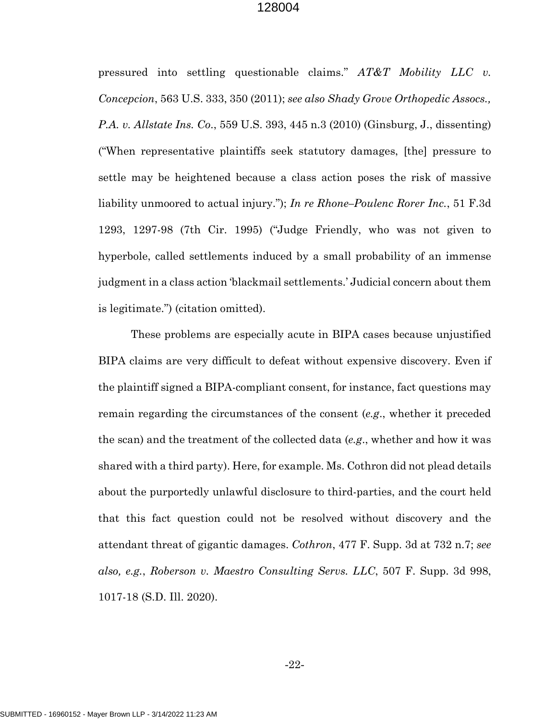<span id="page-28-2"></span><span id="page-28-1"></span><span id="page-28-0"></span>pressured into settling questionable claims." *AT&T Mobility LLC v. Concepcion*, 563 U.S. 333, 350 (2011); *see also Shady Grove Orthopedic Assocs., P.A. v. Allstate Ins. Co*., 559 U.S. 393, 445 n.3 (2010) (Ginsburg, J., dissenting) ("When representative plaintiffs seek statutory damages, [the] pressure to settle may be heightened because a class action poses the risk of massive liability unmoored to actual injury."); *In re Rhone–Poulenc Rorer Inc.*, 51 F.3d 1293, 1297-98 (7th Cir. 1995) ("Judge Friendly, who was not given to hyperbole, called settlements induced by a small probability of an immense judgment in a class action 'blackmail settlements.' Judicial concern about them is legitimate.") (citation omitted).

<span id="page-28-4"></span><span id="page-28-3"></span>These problems are especially acute in BIPA cases because unjustified BIPA claims are very difficult to defeat without expensive discovery. Even if the plaintiff signed a BIPA-compliant consent, for instance, fact questions may remain regarding the circumstances of the consent (*e.g*., whether it preceded the scan) and the treatment of the collected data (*e.g*., whether and how it was shared with a third party). Here, for example. Ms. Cothron did not plead details about the purportedly unlawful disclosure to third-parties, and the court held that this fact question could not be resolved without discovery and the attendant threat of gigantic damages. *Cothron*, 477 F. Supp. 3d at 732 n.7; *see also, e.g.*, *Roberson v. Maestro Consulting Servs. LLC*, 507 F. Supp. 3d 998, 1017-18 (S.D. Ill. 2020).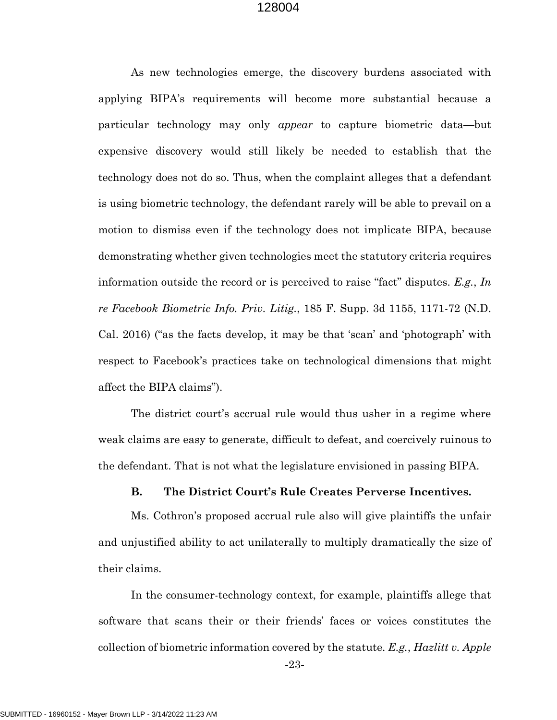As new technologies emerge, the discovery burdens associated with applying BIPA's requirements will become more substantial because a particular technology may only *appear* to capture biometric data—but expensive discovery would still likely be needed to establish that the technology does not do so. Thus, when the complaint alleges that a defendant is using biometric technology, the defendant rarely will be able to prevail on a motion to dismiss even if the technology does not implicate BIPA, because demonstrating whether given technologies meet the statutory criteria requires information outside the record or is perceived to raise "fact" disputes. *E.g.*, *In re Facebook Biometric Info. Priv. Litig.*, 185 F. Supp. 3d 1155, 1171-72 (N.D. Cal. 2016) ("as the facts develop, it may be that 'scan' and 'photograph' with respect to Facebook's practices take on technological dimensions that might affect the BIPA claims").

<span id="page-29-1"></span>The district court's accrual rule would thus usher in a regime where weak claims are easy to generate, difficult to defeat, and coercively ruinous to the defendant. That is not what the legislature envisioned in passing BIPA.

#### <span id="page-29-0"></span>**B. The District Court's Rule Creates Perverse Incentives.**

Ms. Cothron's proposed accrual rule also will give plaintiffs the unfair and unjustified ability to act unilaterally to multiply dramatically the size of their claims.

In the consumer-technology context, for example, plaintiffs allege that software that scans their or their friends' faces or voices constitutes the collection of biometric information covered by the statute. *E.g.*, *Hazlitt v. Apple* 

<span id="page-29-2"></span>-23-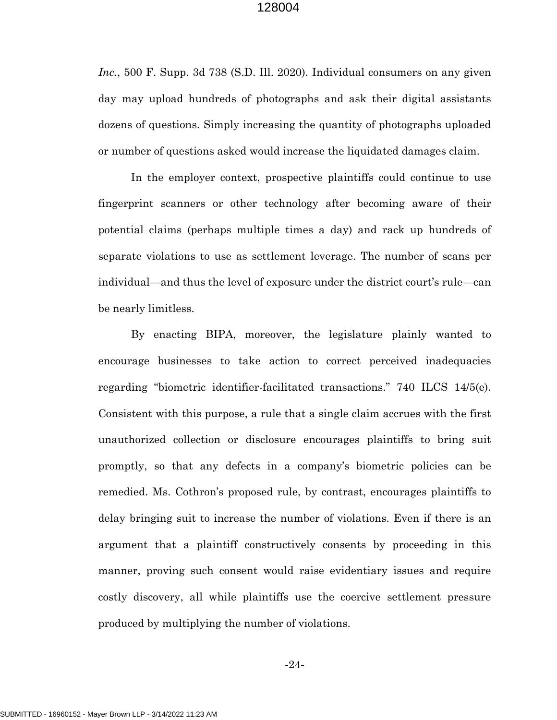*Inc.*, 500 F. Supp. 3d 738 (S.D. Ill. 2020). Individual consumers on any given day may upload hundreds of photographs and ask their digital assistants dozens of questions. Simply increasing the quantity of photographs uploaded or number of questions asked would increase the liquidated damages claim.

In the employer context, prospective plaintiffs could continue to use fingerprint scanners or other technology after becoming aware of their potential claims (perhaps multiple times a day) and rack up hundreds of separate violations to use as settlement leverage. The number of scans per individual—and thus the level of exposure under the district court's rule—can be nearly limitless.

<span id="page-30-0"></span>By enacting BIPA, moreover, the legislature plainly wanted to encourage businesses to take action to correct perceived inadequacies regarding "biometric identifier-facilitated transactions." 740 ILCS 14/5(e). Consistent with this purpose, a rule that a single claim accrues with the first unauthorized collection or disclosure encourages plaintiffs to bring suit promptly, so that any defects in a company's biometric policies can be remedied. Ms. Cothron's proposed rule, by contrast, encourages plaintiffs to delay bringing suit to increase the number of violations. Even if there is an argument that a plaintiff constructively consents by proceeding in this manner, proving such consent would raise evidentiary issues and require costly discovery, all while plaintiffs use the coercive settlement pressure produced by multiplying the number of violations.

-24-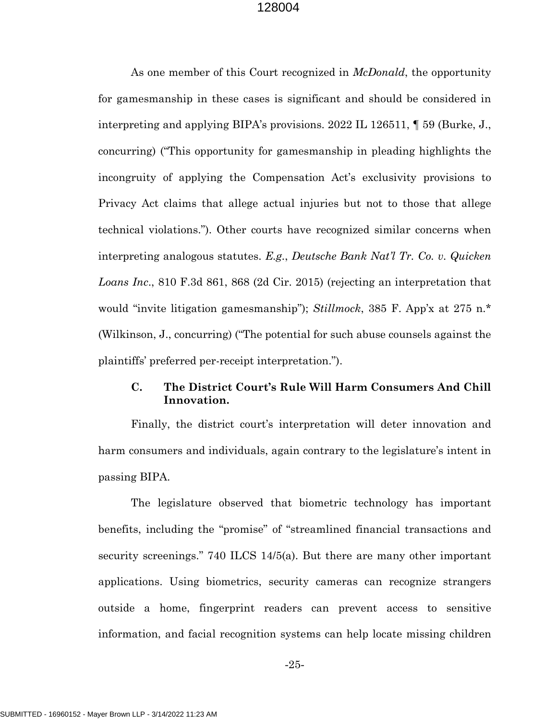<span id="page-31-1"></span>As one member of this Court recognized in *McDonald*, the opportunity for gamesmanship in these cases is significant and should be considered in interpreting and applying BIPA's provisions. 2022 IL 126511, ¶ 59 (Burke, J., concurring) ("This opportunity for gamesmanship in pleading highlights the incongruity of applying the Compensation Act's exclusivity provisions to Privacy Act claims that allege actual injuries but not to those that allege technical violations."). Other courts have recognized similar concerns when interpreting analogous statutes. *E.g.*, *Deutsche Bank Nat'l Tr. Co. v. Quicken Loans Inc*., 810 F.3d 861, 868 (2d Cir. 2015) (rejecting an interpretation that would "invite litigation gamesmanship"); *Stillmock*, 385 F. App'x at 275 n.\* (Wilkinson, J., concurring) ("The potential for such abuse counsels against the plaintiffs' preferred per-receipt interpretation.").

## <span id="page-31-3"></span><span id="page-31-2"></span><span id="page-31-0"></span>**C. The District Court's Rule Will Harm Consumers And Chill Innovation.**

Finally, the district court's interpretation will deter innovation and harm consumers and individuals, again contrary to the legislature's intent in passing BIPA.

<span id="page-31-4"></span>The legislature observed that biometric technology has important benefits, including the "promise" of "streamlined financial transactions and security screenings." 740 ILCS 14/5(a). But there are many other important applications. Using biometrics, security cameras can recognize strangers outside a home, fingerprint readers can prevent access to sensitive information, and facial recognition systems can help locate missing children

-25-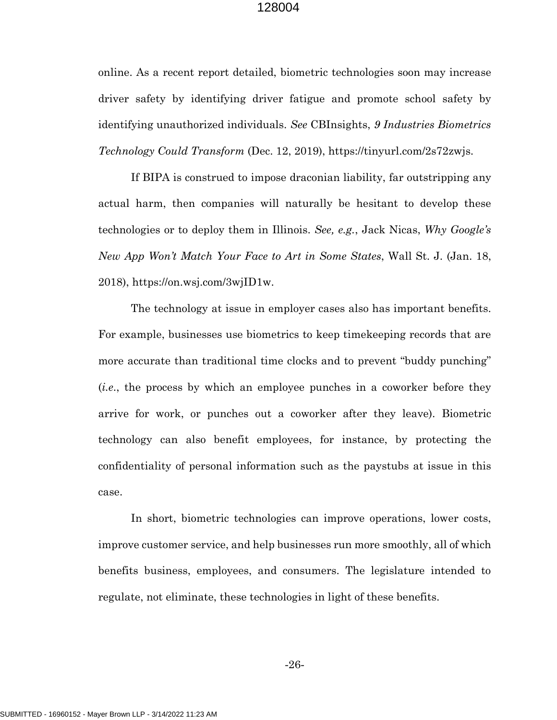<span id="page-32-0"></span>online. As a recent report detailed, biometric technologies soon may increase driver safety by identifying driver fatigue and promote school safety by identifying unauthorized individuals. *See* CBInsights, *9 Industries Biometrics Technology Could Transform* (Dec. 12, 2019), https://tinyurl.com/2s72zwjs.

<span id="page-32-1"></span>If BIPA is construed to impose draconian liability, far outstripping any actual harm, then companies will naturally be hesitant to develop these technologies or to deploy them in Illinois. *See, e.g.*, Jack Nicas, *Why Google's New App Won't Match Your Face to Art in Some States*, Wall St. J. (Jan. 18, 2018), https://on.wsj.com/3wjID1w.

The technology at issue in employer cases also has important benefits. For example, businesses use biometrics to keep timekeeping records that are more accurate than traditional time clocks and to prevent "buddy punching" (*i.e*., the process by which an employee punches in a coworker before they arrive for work, or punches out a coworker after they leave). Biometric technology can also benefit employees, for instance, by protecting the confidentiality of personal information such as the paystubs at issue in this case.

In short, biometric technologies can improve operations, lower costs, improve customer service, and help businesses run more smoothly, all of which benefits business, employees, and consumers. The legislature intended to regulate, not eliminate, these technologies in light of these benefits.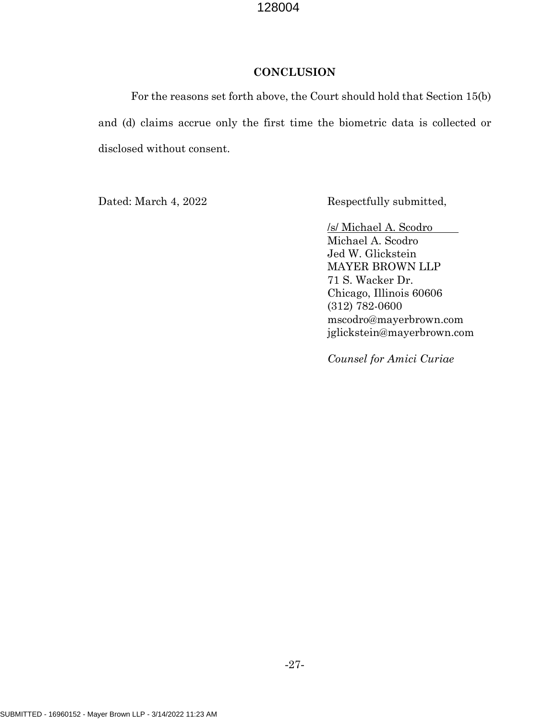## **CONCLUSION**

<span id="page-33-0"></span>For the reasons set forth above, the Court should hold that Section 15(b) and (d) claims accrue only the first time the biometric data is collected or disclosed without consent.

Dated: March 4, 2022 Respectfully submitted,

/s/ Michael A. Scodro Michael A. Scodro Jed W. Glickstein MAYER BROWN LLP 71 S. Wacker Dr. Chicago, Illinois 60606 (312) 782-0600 mscodro@mayerbrown.com jglickstein@mayerbrown.com

*Counsel for Amici Curiae*